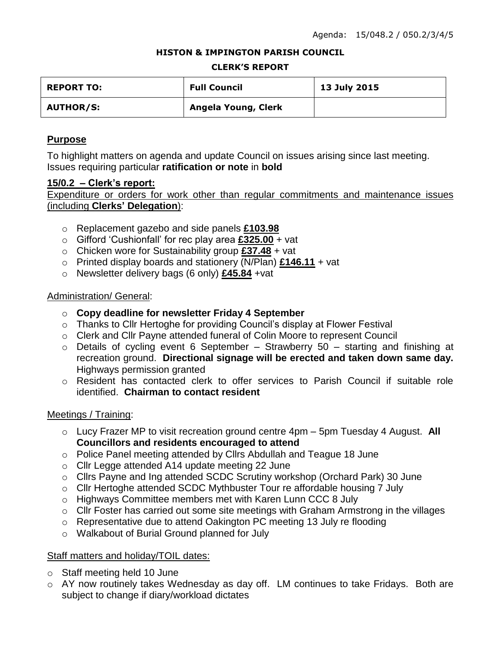#### **HISTON & IMPINGTON PARISH COUNCIL**

#### **CLERK'S REPORT**

| <b>REPORT TO:</b> | <b>Full Council</b> | 13 July 2015 |
|-------------------|---------------------|--------------|
| <b>AUTHOR/S:</b>  | Angela Young, Clerk |              |

# **Purpose**

To highlight matters on agenda and update Council on issues arising since last meeting. Issues requiring particular **ratification or note** in **bold**

### **15/0.2 – Clerk's report:**

Expenditure or orders for work other than regular commitments and maintenance issues (including **Clerks' Delegation**):

- o Replacement gazebo and side panels **£103.98**
- o Gifford 'Cushionfall' for rec play area **£325.00** + vat
- o Chicken wore for Sustainability group **£37.48** + vat
- o Printed display boards and stationery (N/Plan) **£146.11** + vat
- o Newsletter delivery bags (6 only) **£45.84** +vat

# Administration/ General:

- o **Copy deadline for newsletter Friday 4 September**
- o Thanks to Cllr Hertoghe for providing Council's display at Flower Festival
- o Clerk and Cllr Payne attended funeral of Colin Moore to represent Council
- o Details of cycling event 6 September Strawberry 50 starting and finishing at recreation ground. **Directional signage will be erected and taken down same day.** Highways permission granted
- o Resident has contacted clerk to offer services to Parish Council if suitable role identified. **Chairman to contact resident**

# Meetings / Training:

- o Lucy Frazer MP to visit recreation ground centre 4pm 5pm Tuesday 4 August. **All Councillors and residents encouraged to attend**
- o Police Panel meeting attended by Cllrs Abdullah and Teague 18 June
- o Cllr Legge attended A14 update meeting 22 June
- o Cllrs Payne and Ing attended SCDC Scrutiny workshop (Orchard Park) 30 June
- o Cllr Hertoghe attended SCDC Mythbuster Tour re affordable housing 7 July
- o Highways Committee members met with Karen Lunn CCC 8 July
- o Cllr Foster has carried out some site meetings with Graham Armstrong in the villages
- o Representative due to attend Oakington PC meeting 13 July re flooding
- o Walkabout of Burial Ground planned for July

# Staff matters and holiday/TOIL dates:

- o Staff meeting held 10 June
- o AY now routinely takes Wednesday as day off. LM continues to take Fridays. Both are subject to change if diary/workload dictates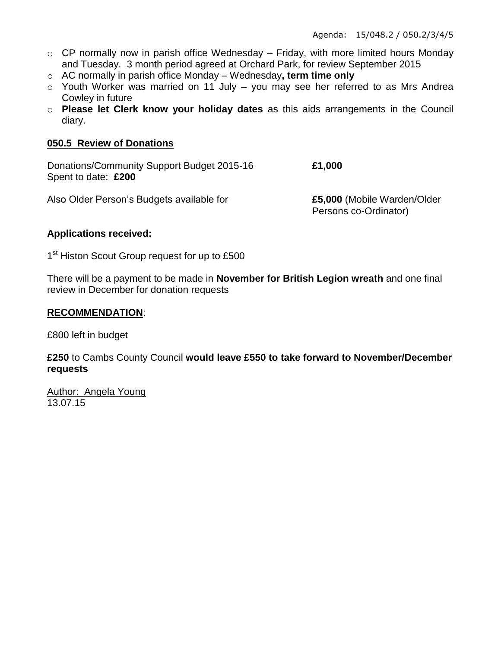- $\circ$  CP normally now in parish office Wednesday Friday, with more limited hours Monday and Tuesday. 3 month period agreed at Orchard Park, for review September 2015
- o AC normally in parish office Monday Wednesday**, term time only**
- $\circ$  Youth Worker was married on 11 July you may see her referred to as Mrs Andrea Cowley in future
- o **Please let Clerk know your holiday dates** as this aids arrangements in the Council diary.

## **050.5 Review of Donations**

Donations/Community Support Budget 2015-16 **£1,000** Spent to date: **£200**

Persons co-Ordinator)

Also Older Person's Budgets available for **£5,000** (Mobile Warden/Older

#### **Applications received:**

1<sup>st</sup> Histon Scout Group request for up to £500

There will be a payment to be made in **November for British Legion wreath** and one final review in December for donation requests

#### **RECOMMENDATION**:

£800 left in budget

**£250** to Cambs County Council **would leave £550 to take forward to November/December requests**

Author: Angela Young 13.07.15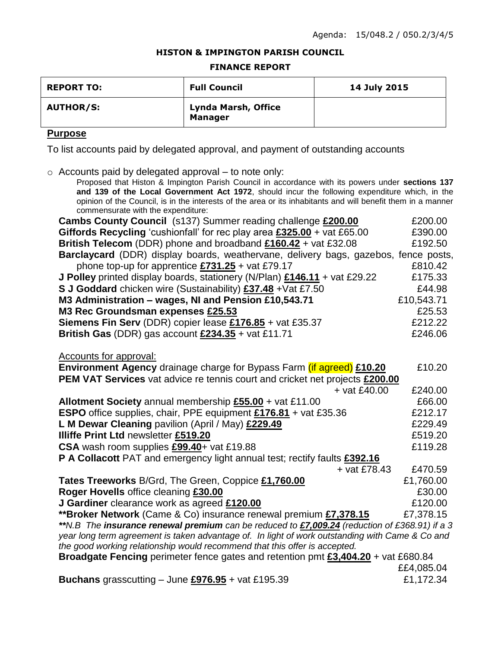#### **HISTON & IMPINGTON PARISH COUNCIL**

#### **FINANCE REPORT**

| <b>REPORT TO:</b> | <b>Full Council</b>                   | 14 July 2015 |
|-------------------|---------------------------------------|--------------|
| <b>AUTHOR/S:</b>  | Lynda Marsh, Office<br><b>Manager</b> |              |

# **Purpose**

To list accounts paid by delegated approval, and payment of outstanding accounts

o Accounts paid by delegated approval – to note only:

| Proposed that Histon & Impington Parish Council in accordance with its powers under sections 137                                                                                                               |            |  |  |  |
|----------------------------------------------------------------------------------------------------------------------------------------------------------------------------------------------------------------|------------|--|--|--|
| and 139 of the Local Government Act 1972, should incur the following expenditure which, in the<br>opinion of the Council, is in the interests of the area or its inhabitants and will benefit them in a manner |            |  |  |  |
| commensurate with the expenditure:                                                                                                                                                                             |            |  |  |  |
| Cambs County Council (s137) Summer reading challenge £200.00                                                                                                                                                   | £200.00    |  |  |  |
| Giffords Recycling 'cushionfall' for rec play area £325.00 + vat £65.00                                                                                                                                        | £390.00    |  |  |  |
| British Telecom (DDR) phone and broadband £160.42 + vat £32.08                                                                                                                                                 | £192.50    |  |  |  |
| Barclaycard (DDR) display boards, weathervane, delivery bags, gazebos, fence posts,                                                                                                                            |            |  |  |  |
| phone top-up for apprentice $£731.25 + \text{vat } £79.17$                                                                                                                                                     | £810.42    |  |  |  |
| <b>J Polley</b> printed display boards, stationery (N/Plan) $£146.11 +$ vat £29.22                                                                                                                             | £175.33    |  |  |  |
| S J Goddard chicken wire (Sustainability) £37.48 + Vat £7.50                                                                                                                                                   | £44.98     |  |  |  |
| M3 Administration - wages, NI and Pension £10,543.71                                                                                                                                                           | £10,543.71 |  |  |  |
| M3 Rec Groundsman expenses £25.53                                                                                                                                                                              | £25.53     |  |  |  |
| Siemens Fin Serv (DDR) copier lease £176.85 + vat £35.37                                                                                                                                                       | £212.22    |  |  |  |
| British Gas (DDR) gas account $£234.35 +$ vat £11.71                                                                                                                                                           | £246.06    |  |  |  |
|                                                                                                                                                                                                                |            |  |  |  |
| <b>Accounts for approval:</b>                                                                                                                                                                                  |            |  |  |  |
| <b>Environment Agency</b> drainage charge for Bypass Farm (if agreed) £10.20                                                                                                                                   | £10.20     |  |  |  |
| PEM VAT Services vat advice re tennis court and cricket net projects £200.00                                                                                                                                   |            |  |  |  |
| $+$ vat £40.00                                                                                                                                                                                                 | £240.00    |  |  |  |
| Allotment Society annual membership £55.00 + vat £11.00                                                                                                                                                        | £66.00     |  |  |  |
| <b>ESPO</b> office supplies, chair, PPE equipment £176.81 + vat £35.36                                                                                                                                         | £212.17    |  |  |  |
| L M Dewar Cleaning pavilion (April / May) £229.49                                                                                                                                                              | £229.49    |  |  |  |
| <b>Illiffe Print Ltd newsletter £519.20</b>                                                                                                                                                                    | £519.20    |  |  |  |
| CSA wash room supplies £99.40+ vat £19.88                                                                                                                                                                      | £119.28    |  |  |  |
| P A Collacott PAT and emergency light annual test; rectify faults £392.16                                                                                                                                      |            |  |  |  |
| $+$ vat £78.43                                                                                                                                                                                                 | £470.59    |  |  |  |
| Tates Treeworks B/Grd, The Green, Coppice £1,760.00                                                                                                                                                            | £1,760.00  |  |  |  |
| Roger Hovells office cleaning £30.00                                                                                                                                                                           | £30.00     |  |  |  |
| J Gardiner clearance work as agreed £120.00                                                                                                                                                                    | £120.00    |  |  |  |
| ** Broker Network (Came & Co) insurance renewal premium £7,378.15                                                                                                                                              | £7,378.15  |  |  |  |
| **N.B The insurance renewal premium can be reduced to £7,009.24 (reduction of £368.91) if a 3                                                                                                                  |            |  |  |  |
| year long term agreement is taken advantage of. In light of work outstanding with Came & Co and                                                                                                                |            |  |  |  |
| the good working relationship would recommend that this offer is accepted.                                                                                                                                     |            |  |  |  |
| Broadgate Fencing perimeter fence gates and retention pmt £3,404.20 + vat £680.84                                                                                                                              |            |  |  |  |
|                                                                                                                                                                                                                | ££4,085.04 |  |  |  |
| Buchans grasscutting $-$ June £976.95 + vat £195.39                                                                                                                                                            | £1,172.34  |  |  |  |